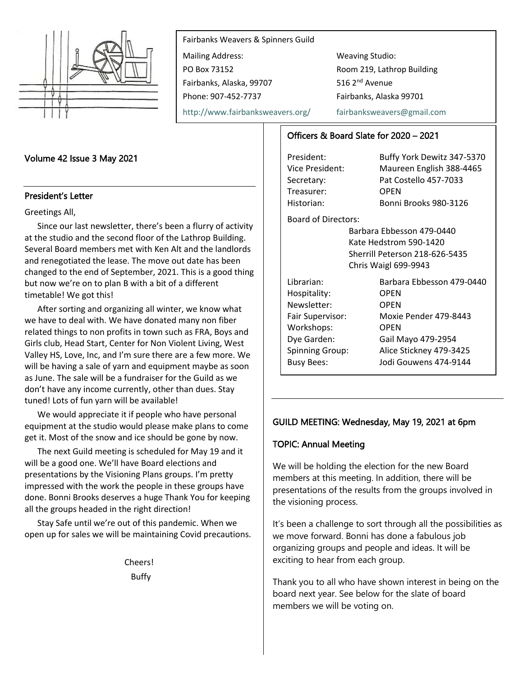

Fairbanks Weavers & Spinners Guild Mailing Address: Weaving Studio: PO Box 73152 Room 219, Lathrop Building Fairbanks, Alaska, 99707 516 2<sup>nd</sup> Avenue Phone: 907-452-7737 Fairbanks, Alaska 99701

<http://www.fairbanksweavers.org/> [fairbanksweavers@gmail.com](mailto:fairbanksweavers@gmail.com)

# Volume 42 Issue 3 May 2021

#### President's Letter

Greetings All,

Since our last newsletter, there's been a flurry of activity at the studio and the second floor of the Lathrop Building. Several Board members met with Ken Alt and the landlords and renegotiated the lease. The move out date has been changed to the end of September, 2021. This is a good thing but now we're on to plan B with a bit of a different timetable! We got this!

After sorting and organizing all winter, we know what we have to deal with. We have donated many non fiber related things to non profits in town such as FRA, Boys and Girls club, Head Start, Center for Non Violent Living, West Valley HS, Love, Inc, and I'm sure there are a few more. We will be having a sale of yarn and equipment maybe as soon as June. The sale will be a fundraiser for the Guild as we don't have any income currently, other than dues. Stay tuned! Lots of fun yarn will be available!

We would appreciate it if people who have personal equipment at the studio would please make plans to come get it. Most of the snow and ice should be gone by now.

The next Guild meeting is scheduled for May 19 and it will be a good one. We'll have Board elections and presentations by the Visioning Plans groups. I'm pretty impressed with the work the people in these groups have done. Bonni Brooks deserves a huge Thank You for keeping all the groups headed in the right direction!

Stay Safe until we're out of this pandemic. When we open up for sales we will be maintaining Covid precautions.

> Cheers! Buffy

# Officers & Board Slate for 2020 – 2021

Treasurer: OPEN

President: Buffy York Dewitz 347-5370 Vice President: Maureen English 388-4465 Secretary: Pat Costello 457-7033 Historian: Bonni Brooks 980-3126

Board of Directors:

Barbara Ebbesson 479-0440 Kate Hedstrom 590-1420 Sherrill Peterson 218-626-5435 Chris Waigl 699-9943

| Librarian:<br>Hospitality:<br>Newsletter:<br>Fair Supervisor:<br>Workshops:<br>Dye Garden:<br><b>Spinning Group:</b> | Barbara Ebbesson 479-0440<br><b>OPEN</b><br>OPEN<br>Moxie Pender 479-8443<br>OPEN<br>Gail Mayo 479-2954<br>Alice Stickney 479-3425 |
|----------------------------------------------------------------------------------------------------------------------|------------------------------------------------------------------------------------------------------------------------------------|
| <b>Busy Bees:</b>                                                                                                    | Jodi Gouwens 474-9144                                                                                                              |
|                                                                                                                      |                                                                                                                                    |

# GUILD MEETING: Wednesday, May 19, 2021 at 6pm

#### TOPIC: Annual Meeting

We will be holding the election for the new Board members at this meeting. In addition, there will be presentations of the results from the groups involved in the visioning process.

It's been a challenge to sort through all the possibilities as we move forward. Bonni has done a fabulous job organizing groups and people and ideas. It will be exciting to hear from each group.

Thank you to all who have shown interest in being on the board next year. See below for the slate of board members we will be voting on.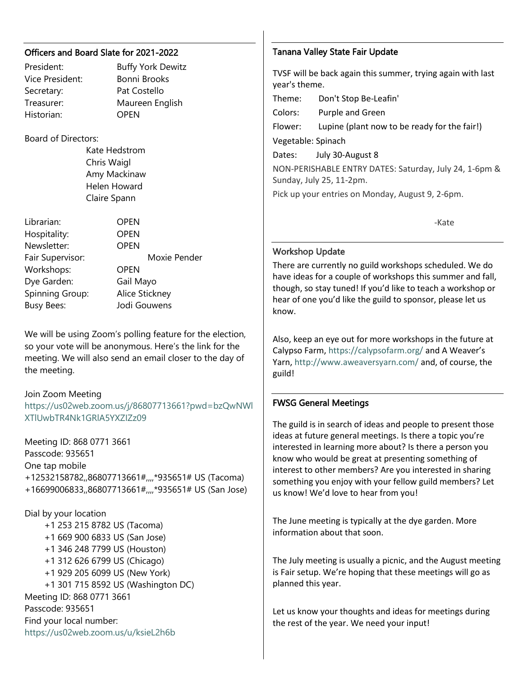#### Officers and Board Slate for 2021-2022

Historian: OPEN

# President: Buffy York Dewitz Vice President: Bonni Brooks Secretary: Pat Costello Treasurer: Maureen English

### Board of Directors:

Kate Hedstrom Chris Waigl Amy Mackinaw Helen Howard Claire Spann

Librarian: OPEN Hospitality: OPEN Newsletter: OPEN Fair Supervisor: Moxie Pender Workshops: OPEN Dye Garden: Gail Mayo Spinning Group: Alice Stickney Busy Bees: Jodi Gouwens

We will be using Zoom's polling feature for the election, so your vote will be anonymous. Here's the link for the meeting. We will also send an email closer to the day of the meeting.

# Join Zoom Meeting

[https://us02web.zoom.us/j/86807713661?pwd=bzQwNWl](https://us02web.zoom.us/j/86807713661?pwd=bzQwNWlXTlUwbTR4Nk1GRlA5YXZIZz09) [XTlUwbTR4Nk1GRlA5YXZIZz09](https://us02web.zoom.us/j/86807713661?pwd=bzQwNWlXTlUwbTR4Nk1GRlA5YXZIZz09)

Meeting ID: 868 0771 3661 Passcode: 935651 One tap mobile +12532158782,,86807713661#,,,,\*935651# US (Tacoma) +16699006833,,86807713661#,,,,\*935651# US (San Jose)

Dial by your location +1 253 215 8782 US (Tacoma) +1 669 900 6833 US (San Jose) +1 346 248 7799 US (Houston) +1 312 626 6799 US (Chicago) +1 929 205 6099 US (New York) +1 301 715 8592 US (Washington DC) Meeting ID: 868 0771 3661 Passcode: 935651 Find your local number: <https://us02web.zoom.us/u/ksieL2h6b>

#### Tanana Valley State Fair Update

TVSF will be back again this summer, trying again with last year's theme.

Theme: Don't Stop Be-Leafin'

Colors: Purple and Green

Flower: Lupine (plant now to be ready for the fair!)

Vegetable: Spinach

Dates: July 30-August 8

NON-PERISHABLE ENTRY DATES: Saturday, July 24, 1-6pm & Sunday, July 25, 11-2pm.

Pick up your entries on Monday, August 9, 2-6pm.

e a construction of the construction of the Samuel School and the Samuel School and the Samuel School and the

#### Workshop Update

There are currently no guild workshops scheduled. We do have ideas for a couple of workshops this summer and fall, though, so stay tuned! If you'd like to teach a workshop or hear of one you'd like the guild to sponsor, please let us know.

Also, keep an eye out for more workshops in the future at Calypso Farm[, https://calypsofarm.org/](https://calypsofarm.org/) and A Weaver's Yarn,<http://www.aweaversyarn.com/> and, of course, the guild!

#### FWSG General Meetings

The guild is in search of ideas and people to present those ideas at future general meetings. Is there a topic you're interested in learning more about? Is there a person you know who would be great at presenting something of interest to other members? Are you interested in sharing something you enjoy with your fellow guild members? Let us know! We'd love to hear from you!

The June meeting is typically at the dye garden. More information about that soon.

The July meeting is usually a picnic, and the August meeting is Fair setup. We're hoping that these meetings will go as planned this year.

Let us know your thoughts and ideas for meetings during the rest of the year. We need your input!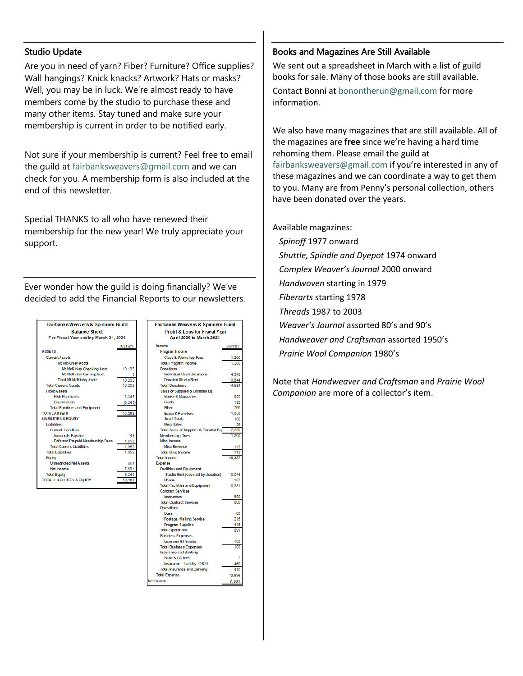#### Studio Update

Are you in need of yarn? Fiber? Furniture? Office supplies? Wall hangings? Knick knacks? Artwork? Hats or masks? Well, you may be in luck. We're almost ready to have members come by the studio to purchase these and many other items. Stay tuned and make sure your membership is current in order to be notified early.

Not sure if your membership is current? Feel free to email the guild at [fairbanksweavers@gmail.com](mailto:fairbanksweavers@gmail.com) and we can check for you. A membership form is also included at the end of this newsletter.

Special THANKS to all who have renewed their membership for the new year! We truly appreciate your support.

Ever wonder how the guild is doing financially? We've decided to add the Financial Reports to our newsletters.



| <b>Fairbanks Weavers &amp; Spinners Guild</b> |         |
|-----------------------------------------------|---------|
| <b>Profit &amp; Loss for Fiscal Year</b>      |         |
| April 2020 to March 2021                      |         |
| Income                                        | 3/31/21 |
| Program Income                                |         |
| <b>Class &amp; Workshop Fees</b>              | 1.200   |
| <b>Total Program Income</b>                   | 1.200   |
| <b>Donations</b>                              |         |
| <b>Individual Cash Donations</b>              | 4,340   |
| <b>Donated Studio Rent</b>                    | 10,644  |
| <b>Total Donations</b>                        | 14.984  |
| Sales of Supplies & Donated Eq                |         |
| Books & Magazines                             | 820     |
| Cards                                         | 130     |
| Fiber                                         | 765     |
| Equip & Furniture                             | 1.050   |
| <b>Small Tools</b>                            | 100     |
| <b>Misc Sales</b>                             | 25      |
| Total Sales of Supplies & Donated Eq          | 2.890   |
| <b>Membership Dues</b>                        | 1.200   |
| Misc Income                                   |         |
| <b>Misc Revenue</b>                           | 113     |
| <b>Total Misc Income</b>                      | 113     |
| <b>Total Income</b>                           | 20.387  |
| Expense                                       |         |
| <b>Facilities and Equipment</b>               |         |
| <b>Studio Rent (covered by donation)</b>      | 10.644  |
| Phone                                         | 187     |
| <b>Total Facilities and Equipment</b>         | 10,831  |
| <b>Contract Services</b>                      |         |
| <b>Instructors</b>                            | 600     |
| <b>Total Contract Services</b>                | 600     |
| <b>Operations</b>                             |         |
| <b>Dues</b>                                   | 60      |
| Postage, Mailing Service                      | 216     |
| <b>Program Supplies</b>                       | 415     |
| <b>Total Operations</b>                       | 691     |
| <b>Business Expenses</b>                      |         |
| <b>Licenses &amp; Permits</b>                 | 100     |
| <b>Total Business Expenses</b>                | 100     |
| <b>Insurance and Banking</b>                  |         |
| <b>Bank &amp; CC fees</b>                     | 7       |
| Insurance - Liability, D&O                    | 488     |
| <b>Total Insurance and Banking</b>            | 475     |
| <b>Total Expense</b>                          | 12,696  |
| let Income                                    | 7,691   |

#### Books and Magazines Are Still Available

We sent out a spreadsheet in March with a list of guild books for sale. Many of those books are still available.

Contact Bonni at [bonontherun@gmail.com](mailto:bonontherun@gmail.com) for more information.

We also have many magazines that are still available. All of the magazines are **free** since we're having a hard time rehoming them. Please email the guild at [fairbanksweavers@gmail.com](mailto:fairbanksweavers@gmail.com) if you're interested in any of these magazines and we can coordinate a way to get them to you. Many are from Penny's personal collection, others have been donated over the years.

#### Available magazines:

 *Spinoff* 1977 onward *Shuttle, Spindle and Dyepot* 1974 onward *Complex Weaver's Journal* 2000 onward *Handwoven* starting in 1979 *Fiberarts* starting 1978 *Threads* 1987 to 2003 *Weaver's Journal* assorted 80's and 90's *Handweaver and Craftsman* assorted 1950's *Prairie Wool Companion* 1980's

Note that *Handweaver and Craftsman* and *Prairie Wool Companion* are more of a collector's item.